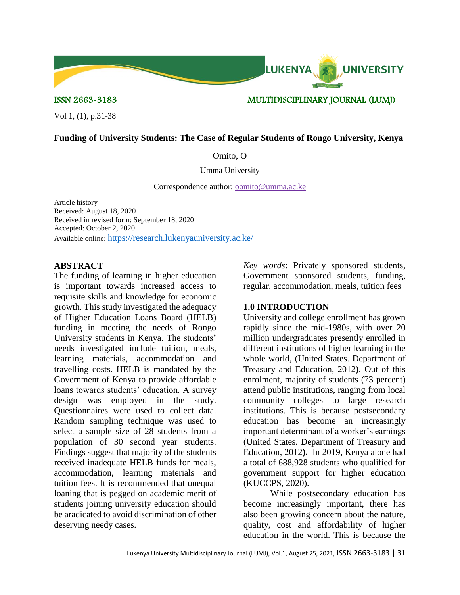

Vol 1, (1), p.31-38

## **Funding of University Students: The Case of Regular Students of Rongo University, Kenya**

## Omito, O

#### Umma University

Correspondence author: [oomito@umma.ac.ke](mailto:oomito@umma.ac.ke)

Article history Received: August 18, 2020 Received in revised form: September 18, 2020 Accepted: October 2, 2020 Available online: <https://research.lukenyauniversity.ac.ke/>

### **ABSTRACT**

The funding of learning in higher education is important towards increased access to requisite skills and knowledge for economic growth. This study investigated the adequacy of Higher Education Loans Board (HELB) funding in meeting the needs of Rongo University students in Kenya. The students' needs investigated include tuition, meals, learning materials, accommodation and travelling costs. HELB is mandated by the Government of Kenya to provide affordable loans towards students' education. A survey design was employed in the study. Questionnaires were used to collect data. Random sampling technique was used to select a sample size of 28 students from a population of 30 second year students. Findings suggest that majority of the students received inadequate HELB funds for meals, accommodation, learning materials and tuition fees. It is recommended that unequal loaning that is pegged on academic merit of students joining university education should be aradicated to avoid discrimination of other deserving needy cases.

*Key words*: Privately sponsored students, Government sponsored students, funding, regular, accommodation, meals, tuition fees

### **1.0 INTRODUCTION**

LUKENYA.

**UNIVERSITY** 

University and college enrollment has grown rapidly since the mid-1980s, with over 20 million undergraduates presently enrolled in different institutions of higher learning in the whole world, (United States. Department of Treasury and Education, 2012**)**. Out of this enrolment, majority of students (73 percent) attend public institutions, ranging from local community colleges to large research institutions. This is because postsecondary education has become an increasingly important determinant of a worker's earnings (United States. Department of Treasury and Education, 2012**).** In 2019, Kenya alone had a total of 688,928 students who qualified for government support for higher education (KUCCPS, 2020).

While postsecondary education has become increasingly important, there has also been growing concern about the nature, quality, cost and affordability of higher education in the world. This is because the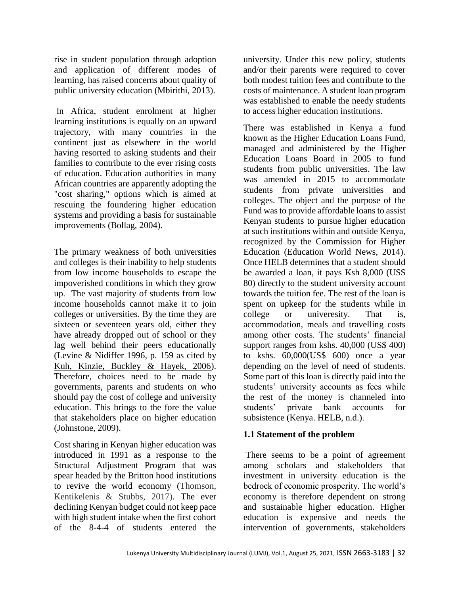rise in student population through adoption and application of different modes of learning, has raised concerns about quality of public university education (Mbirithi, 2013).

In Africa, student enrolment at higher learning institutions is equally on an upward trajectory, with many countries in the continent just as elsewhere in the world having resorted to asking students and their families to contribute to the ever rising costs of education. Education authorities in many African countries are apparently adopting the "cost sharing," options which is aimed at rescuing the foundering higher education systems and providing a basis for sustainable improvements (Bollag, 2004).

The primary weakness of both universities and colleges is their inability to help students from low income households to escape the impoverished conditions in which they grow up. The vast majority of students from low income households cannot make it to join colleges or universities. By the time they are sixteen or seventeen years old, either they have already dropped out of school or they lag well behind their peers educationally (Levine & Nidiffer 1996, p. 159 as cited by Kuh, Kinzie, Buckley & Hayek, 2006). Therefore, choices need to be made by governments, parents and students on who should pay the cost of college and university education. This brings to the fore the value that stakeholders place on higher education (Johnstone, 2009).

Cost sharing in Kenyan higher education was introduced in 1991 as a response to the Structural Adjustment Program that was spear headed by the Britton hood institutions to revive the world economy (Thomson, Kentikelenis & Stubbs, 2017). The ever declining Kenyan budget could not keep pace with high student intake when the first cohort of the 8-4-4 of students entered the

university. Under this new policy, students and/or their parents were required to cover both modest tuition fees and contribute to the costs of maintenance. A student loan program was established to enable the needy students to access higher education institutions.

There was established in Kenya a fund known as the Higher Education Loans Fund, managed and administered by the Higher Education Loans Board in 2005 to fund students from public universities. The law was amended in 2015 to accommodate students from private universities and colleges. The object and the purpose of the Fund was to provide affordable loans to assist Kenyan students to pursue higher education at such institutions within and outside Kenya, recognized by the Commission for Higher Education (Education World News, 2014). Once HELB determines that a student should be awarded a loan, it pays Ksh 8,000 (US\$ 80) directly to the student university account towards the tuition fee. The rest of the loan is spent on upkeep for the students while in college or univeresity. That is, accommodation, meals and travelling costs among other costs. The students' financial support ranges from kshs. 40,000 (US\$ 400) to kshs. 60,000(US\$ 600) once a year depending on the level of need of students. Some part of this loan is directly paid into the students' university accounts as fees while the rest of the money is channeled into students' private bank accounts for subsistence (Kenya. HELB, n.d.).

# **1.1 Statement of the problem**

There seems to be a point of agreement among scholars and stakeholders that investment in university education is the bedrock of economic prosperity. The world's economy is therefore dependent on strong and sustainable higher education. Higher education is expensive and needs the intervention of governments, stakeholders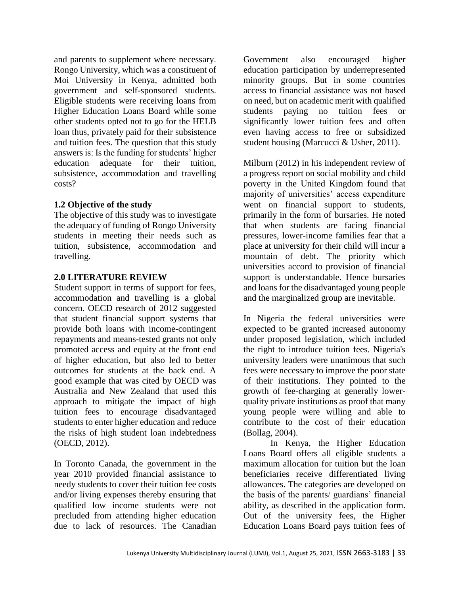and parents to supplement where necessary. Rongo University, which was a constituent of Moi University in Kenya, admitted both government and self-sponsored students. Eligible students were receiving loans from Higher Education Loans Board while some other students opted not to go for the HELB loan thus, privately paid for their subsistence and tuition fees. The question that this study answers is: Is the funding for students' higher education adequate for their tuition, subsistence, accommodation and travelling costs?

## **1.2 Objective of the study**

The objective of this study was to investigate the adequacy of funding of Rongo University students in meeting their needs such as tuition, subsistence, accommodation and travelling.

## **2.0 LITERATURE REVIEW**

Student support in terms of support for fees, accommodation and travelling is a global concern. OECD research of 2012 suggested that student financial support systems that provide both loans with income-contingent repayments and means-tested grants not only promoted access and equity at the front end of higher education, but also led to better outcomes for students at the back end. A good example that was cited by OECD was Australia and New Zealand that used this approach to mitigate the impact of high tuition fees to encourage disadvantaged students to enter higher education and reduce the risks of high student loan indebtedness (OECD, 2012).

In Toronto Canada, the government in the year 2010 provided financial assistance to needy students to cover their tuition fee costs and/or living expenses thereby ensuring that qualified low income students were not precluded from attending higher education due to lack of resources. The Canadian

Government also encouraged higher education participation by underrepresented minority groups. But in some countries access to financial assistance was not based on need, but on academic merit with qualified students paying no tuition fees or significantly lower tuition fees and often even having access to free or subsidized student housing (Marcucci & Usher, 2011).

Milburn (2012) in his independent review of a progress report on social mobility and child poverty in the United Kingdom found that majority of universities' access expenditure went on financial support to students, primarily in the form of bursaries. He noted that when students are facing financial pressures, lower-income families fear that a place at university for their child will incur a mountain of debt. The priority which universities accord to provision of financial support is understandable. Hence bursaries and loans for the disadvantaged young people and the marginalized group are inevitable.

In Nigeria the federal universities were expected to be granted increased autonomy under proposed legislation, which included the right to introduce tuition fees. Nigeria's university leaders were unanimous that such fees were necessary to improve the poor state of their institutions. They pointed to the growth of fee-charging at generally lowerquality private institutions as proof that many young people were willing and able to contribute to the cost of their education (Bollag, 2004).

In Kenya, the Higher Education Loans Board offers all eligible students a maximum allocation for tuition but the loan beneficiaries receive differentiated living allowances. The categories are developed on the basis of the parents/ guardians' financial ability, as described in the application form. Out of the university fees, the Higher Education Loans Board pays tuition fees of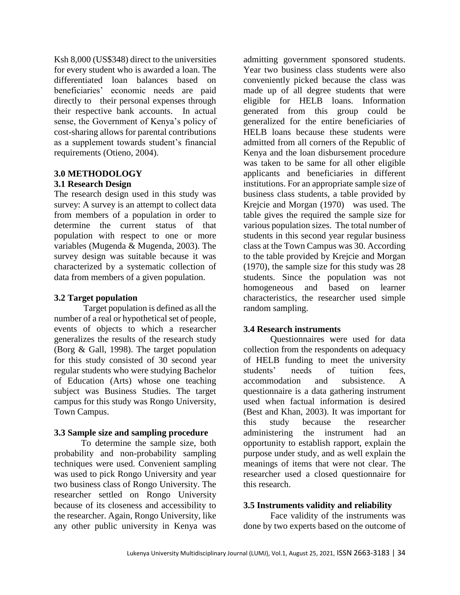Ksh 8,000 (US\$348) direct to the universities for every student who is awarded a loan. The differentiated loan balances based on beneficiaries' economic needs are paid directly to their personal expenses through their respective bank accounts. In actual sense, the Government of Kenya's policy of cost-sharing allows for parental contributions as a supplement towards student's financial requirements (Otieno, 2004).

# **3.0 METHODOLOGY**

# **3.1 Research Design**

The research design used in this study was survey: A survey is an attempt to collect data from members of a population in order to determine the current status of that population with respect to one or more variables (Mugenda & Mugenda, 2003). The survey design was suitable because it was characterized by a systematic collection of data from members of a given population.

# **3.2 Target population**

Target population is defined as all the number of a real or hypothetical set of people, events of objects to which a researcher generalizes the results of the research study (Borg & Gall, 1998). The target population for this study consisted of 30 second year regular students who were studying Bachelor of Education (Arts) whose one teaching subject was Business Studies. The target campus for this study was Rongo University, Town Campus.

# **3.3 Sample size and sampling procedure**

To determine the sample size, both probability and non-probability sampling techniques were used. Convenient sampling was used to pick Rongo University and year two business class of Rongo University. The researcher settled on Rongo University because of its closeness and accessibility to the researcher. Again, Rongo University, like any other public university in Kenya was

admitting government sponsored students. Year two business class students were also conveniently picked because the class was made up of all degree students that were eligible for HELB loans. Information generated from this group could be generalized for the entire beneficiaries of HELB loans because these students were admitted from all corners of the Republic of Kenya and the loan disbursement procedure was taken to be same for all other eligible applicants and beneficiaries in different institutions. For an appropriate sample size of business class students, a table provided by Krejcie and Morgan (1970) was used. The table gives the required the sample size for various population sizes. The total number of students in this second year regular business class at the Town Campus was 30. According to the table provided by Krejcie and Morgan (1970), the sample size for this study was 28 students. Since the population was not homogeneous and based on learner characteristics, the researcher used simple random sampling.

# **3.4 Research instruments**

Questionnaires were used for data collection from the respondents on adequacy of HELB funding to meet the university students' needs of tuition fees, accommodation and subsistence. A questionnaire is a data gathering instrument used when factual information is desired (Best and Khan, 2003). It was important for this study because the researcher administering the instrument had an opportunity to establish rapport, explain the purpose under study, and as well explain the meanings of items that were not clear. The researcher used a closed questionnaire for this research.

# **3.5 Instruments validity and reliability**

Face validity of the instruments was done by two experts based on the outcome of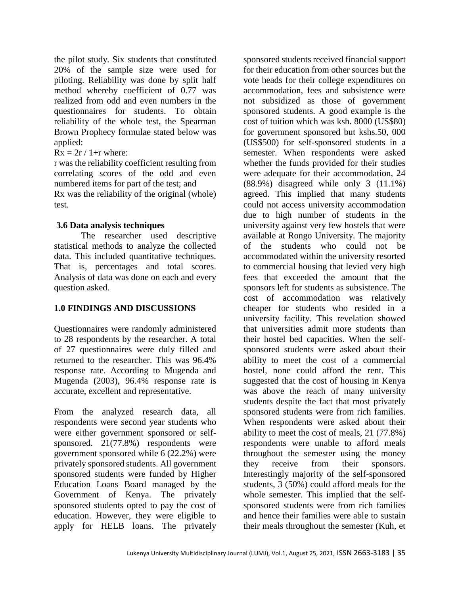the pilot study. Six students that constituted 20% of the sample size were used for piloting. Reliability was done by split half method whereby coefficient of 0.77 was realized from odd and even numbers in the questionnaires for students. To obtain reliability of the whole test, the Spearman Brown Prophecy formulae stated below was applied:

 $Rx = 2r / 1 + r$  where:

r was the reliability coefficient resulting from correlating scores of the odd and even numbered items for part of the test; and

Rx was the reliability of the original (whole) test.

# **3.6 Data analysis techniques**

The researcher used descriptive statistical methods to analyze the collected data. This included quantitative techniques. That is, percentages and total scores. Analysis of data was done on each and every question asked.

# **1.0 FINDINGS AND DISCUSSIONS**

Questionnaires were randomly administered to 28 respondents by the researcher. A total of 27 questionnaires were duly filled and returned to the researcher. This was 96.4% response rate. According to Mugenda and Mugenda (2003), 96.4% response rate is accurate, excellent and representative.

From the analyzed research data, all respondents were second year students who were either government sponsored or selfsponsored. 21(77.8%) respondents were government sponsored while 6 (22.2%) were privately sponsored students. All government sponsored students were funded by Higher Education Loans Board managed by the Government of Kenya. The privately sponsored students opted to pay the cost of education. However, they were eligible to apply for HELB loans. The privately

sponsored students received financial support for their education from other sources but the vote heads for their college expenditures on accommodation, fees and subsistence were not subsidized as those of government sponsored students. A good example is the cost of tuition which was ksh. 8000 (US\$80) for government sponsored but kshs.50, 000 (US\$500) for self-sponsored students in a semester. When respondents were asked whether the funds provided for their studies were adequate for their accommodation, 24 (88.9%) disagreed while only 3 (11.1%) agreed. This implied that many students could not access university accommodation due to high number of students in the university against very few hostels that were available at Rongo University. The majority of the students who could not be accommodated within the university resorted to commercial housing that levied very high fees that exceeded the amount that the sponsors left for students as subsistence. The cost of accommodation was relatively cheaper for students who resided in a university facility. This revelation showed that universities admit more students than their hostel bed capacities. When the selfsponsored students were asked about their ability to meet the cost of a commercial hostel, none could afford the rent. This suggested that the cost of housing in Kenya was above the reach of many university students despite the fact that most privately sponsored students were from rich families. When respondents were asked about their ability to meet the cost of meals, 21 (77.8%) respondents were unable to afford meals throughout the semester using the money they receive from their sponsors. Interestingly majority of the self-sponsored students, 3 (50%) could afford meals for the whole semester. This implied that the selfsponsored students were from rich families and hence their families were able to sustain their meals throughout the semester (Kuh, et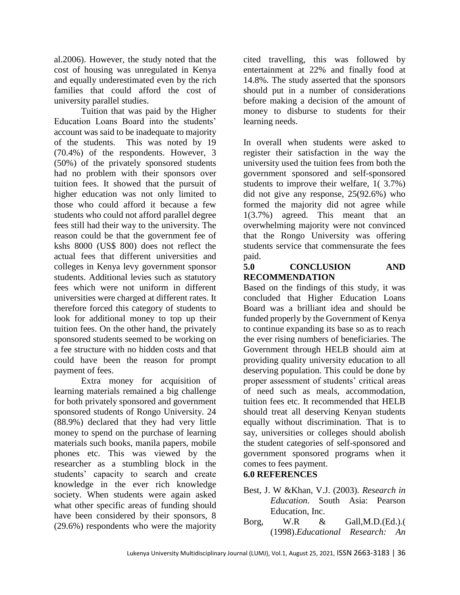al.2006). However, the study noted that the cost of housing was unregulated in Kenya and equally underestimated even by the rich families that could afford the cost of university parallel studies.

Tuition that was paid by the Higher Education Loans Board into the students' account was said to be inadequate to majority of the students. This was noted by 19 (70.4%) of the respondents. However, 3 (50%) of the privately sponsored students had no problem with their sponsors over tuition fees. It showed that the pursuit of higher education was not only limited to those who could afford it because a few students who could not afford parallel degree fees still had their way to the university. The reason could be that the government fee of kshs 8000 (US\$ 800) does not reflect the actual fees that different universities and colleges in Kenya levy government sponsor students. Additional levies such as statutory fees which were not uniform in different universities were charged at different rates. It therefore forced this category of students to look for additional money to top up their tuition fees. On the other hand, the privately sponsored students seemed to be working on a fee structure with no hidden costs and that could have been the reason for prompt payment of fees.

Extra money for acquisition of learning materials remained a big challenge for both privately sponsored and government sponsored students of Rongo University. 24 (88.9%) declared that they had very little money to spend on the purchase of learning materials such books, manila papers, mobile phones etc. This was viewed by the researcher as a stumbling block in the students' capacity to search and create knowledge in the ever rich knowledge society. When students were again asked what other specific areas of funding should have been considered by their sponsors, 8 (29.6%) respondents who were the majority

cited travelling, this was followed by entertainment at 22% and finally food at 14.8%. The study asserted that the sponsors should put in a number of considerations before making a decision of the amount of money to disburse to students for their learning needs.

In overall when students were asked to register their satisfaction in the way the university used the tuition fees from both the government sponsored and self-sponsored students to improve their welfare, 1( 3.7%) did not give any response, 25(92.6%) who formed the majority did not agree while 1(3.7%) agreed. This meant that an overwhelming majority were not convinced that the Rongo University was offering students service that commensurate the fees paid.

# **5.0 CONCLUSION AND RECOMMENDATION**

Based on the findings of this study, it was concluded that Higher Education Loans Board was a brilliant idea and should be funded properly by the Government of Kenya to continue expanding its base so as to reach the ever rising numbers of beneficiaries. The Government through HELB should aim at providing quality university education to all deserving population. This could be done by proper assessment of students' critical areas of need such as meals, accommodation, tuition fees etc. It recommended that HELB should treat all deserving Kenyan students equally without discrimination. That is to say, universities or colleges should abolish the student categories of self-sponsored and government sponsored programs when it comes to fees payment.

# **6.0 REFERENCES**

- Best, J. W &Khan, V.J. (2003). *Research in Education*. South Asia: Pearson Education, Inc.
- Borg, W.R & Gall,M.D.(Ed.).( (1998).*Educational Research: An*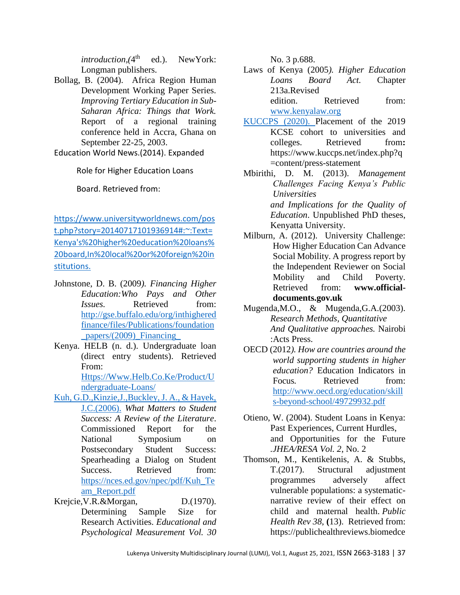*introduction,(*4 ed.). NewYork: Longman publishers.

Bollag, B. (2004). Africa Region Human Development Working Paper Series. *Improving Tertiary Education in Sub-Saharan Africa: Things that Work.* Report of a regional training conference held in Accra, Ghana on September 22-25, 2003.

Education World News.(2014). Expanded

Role for Higher Education Loans

Board. Retrieved from:

[https://www.universityworldnews.com/pos](https://www.universityworldnews.com/post.php?story=20140717101936914#:~:Text=Kenya) [t.php?story=20140717101936914#:~:Text=](https://www.universityworldnews.com/post.php?story=20140717101936914#:~:Text=Kenya) [Kenya's%20higher%20education%20loans%](https://www.universityworldnews.com/post.php?story=20140717101936914#:~:Text=Kenya) [20board,In%20local%20or%20foreign%20in](https://www.universityworldnews.com/post.php?story=20140717101936914#:~:Text=Kenya) [stitutions.](https://www.universityworldnews.com/post.php?story=20140717101936914#:~:Text=Kenya)

- Johnstone, D. B. (2009*). Financing Higher Education:Who Pays and Other Issues.* Retrieved from: [http://gse.buffalo.edu/org/inthighered](http://gse.buffalo.edu/org/inthigheredfinance/files/Publications/foundation_papers/(2009)_Financing_) [finance/files/Publications/foundation](http://gse.buffalo.edu/org/inthigheredfinance/files/Publications/foundation_papers/(2009)_Financing_) [\\_papers/\(2009\)\\_Financing\\_](http://gse.buffalo.edu/org/inthigheredfinance/files/Publications/foundation_papers/(2009)_Financing_)
- Kenya. HELB (n. d.). Undergraduate loan (direct entry students). Retrieved From:

[Https://Www.Helb.Co.Ke/Product/U](https://www.helb.co.ke/product/undergraduate-loans/) [ndergraduate-Loans/](https://www.helb.co.ke/product/undergraduate-loans/)

- Kuh, G.D.,Kinzie,J.,Buckley, J. A., & Hayek, J.C.(2006). *What Matters to Student Success: A Review of the Literature*. Commissioned Report for the National Symposium on Postsecondary Student Success: Spearheading a Dialog on Student Success. Retrieved from: [https://nces.ed.gov/npec/pdf/Kuh\\_Te](https://nces.ed.gov/npec/pdf/Kuh_Team_Report.pdf) [am\\_Report.pdf](https://nces.ed.gov/npec/pdf/Kuh_Team_Report.pdf)
- Krejcie,V.R.&Morgan, D.(1970). Determining Sample Size for Research Activities. *Educational and Psychological Measurement Vol. 30*

No. 3 p.688.

Laws of Kenya (2005*). Higher Education Loans Board Act.* Chapter 213a.Revised

edition. Retrieved from: [www.kenyalaw.org](http://www.kenyalaw.org/)

- KUCCPS (2020). Placement of the 2019 KCSE cohort to universities and colleges. Retrieved from**:**  [https://www.kuccps.net/index.php?q](https://www.kuccps.net/index.php?q=content/press-statement) [=content/press-statement](https://www.kuccps.net/index.php?q=content/press-statement)
- Mbirithi, D. M. (2013). *Management Challenges Facing Kenya's Public Universities and Implications for the Quality of Education*. Unpublished PhD theses, Kenyatta University.
- Milburn, A. (2012). University Challenge: How Higher Education Can Advance Social Mobility. A progress report by the Independent Reviewer on Social Mobility and Child Poverty. Retrieved from: **[www.official](http://www.official-documents.gov.uk/)[documents.gov.uk](http://www.official-documents.gov.uk/)**
- Mugenda,M.O., & Mugenda,G.A.(2003). *Research Methods, Quantitative And Qualitative approaches.* Nairobi :Acts Press.
- OECD (2012*). How are countries around the world supporting students in higher education?* Education Indicators in Focus. Retrieved from: [http://www.oecd.org/education/skill](http://www.oecd.org/education/skills-beyond-school/49729932.pdf) [s-beyond-school/49729932.pdf](http://www.oecd.org/education/skills-beyond-school/49729932.pdf)
- Otieno, W. (2004). Student Loans in Kenya: Past Experiences, Current Hurdles, and Opportunities for the Future *.JHEA/RESA Vol. 2*, No. 2
- Thomson, M., Kentikelenis, A. & Stubbs, T.(2017). Structural adjustment programmes adversely affect vulnerable populations: a systematicnarrative review of their effect on child and maternal health. *Public Health Rev 38*, **(**13). Retrieved from: [https://publichealthreviews.biomedce](https://publichealthreviews.biomedcentral.com/articles/10.1186/s40985-017-0059-2#citeas)